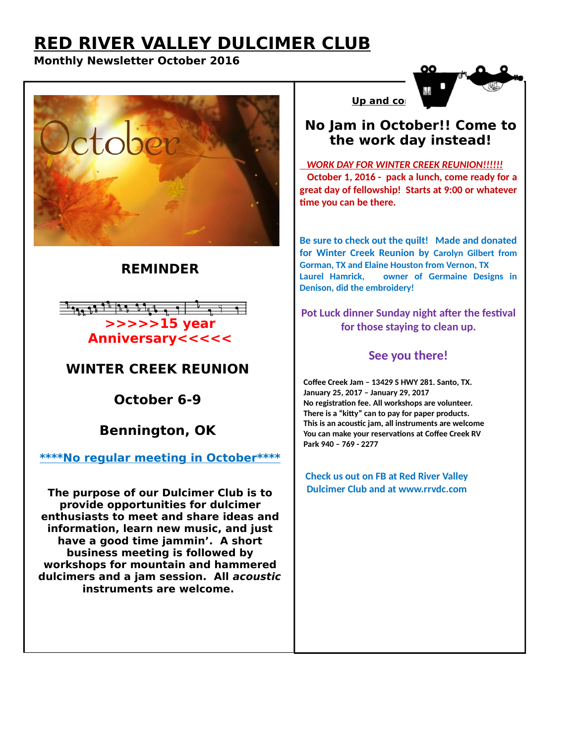# **RED RIVER VALLEY DULCIMER CLUB**

### **Monthly Newsletter October 2016**



## **REMINDER**



# **WINTER CREEK REUNION**

**October 6-9**

**Bennington, OK**

**\*\*\*\*No regular meeting in October\*\*\*\***

**The purpose of our Dulcimer Club is to provide opportunities for dulcimer enthusiasts to meet and share ideas and information, learn new music, and just have a good time jammin'. A short business meeting is followed by workshops for mountain and hammered dulcimers and a jam session. All acoustic instruments are welcome.** 

### **No Jam in October!! Come to the work day instead!**

**Up and com** 

 *WORK DAY FOR WINTER CREEK REUNION!!!!!!*  **October 1, 2016 - pack a lunch, come ready for a great day of fellowship! Starts at 9:00 or whatever time you can be there.**

**Be sure to check out the quilt! Made and donated for Winter Creek Reunion by Carolyn Gilbert from Gorman, TX and Elaine Houston from Vernon, TX Laurel Hamrick, owner of Germaine Designs in Denison, did the embroidery!**

#### **Pot Luck dinner Sunday night after the festival for those staying to clean up.**

### **See you there!**

 **Coffee Creek Jam – 13429 S HWY 281. Santo, TX. January 25, 2017 – January 29, 2017 No registration fee. All workshops are volunteer. There is a "kitty" can to pay for paper products. This is an acoustic jam, all instruments are welcome You can make your reservations at Coffee Creek RV Park 940 – 769 - 2277** 

 **Check us out on FB at Red River Valley Dulcimer Club and at www.rrvdc.com**